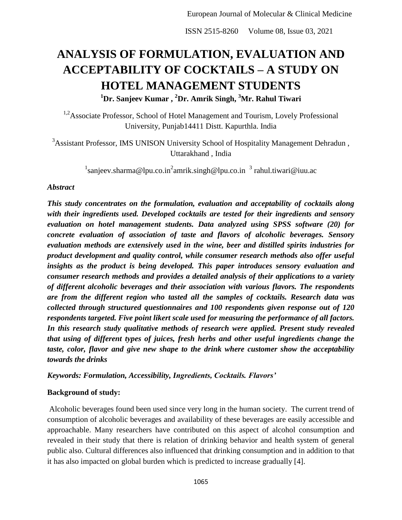# **ANALYSIS OF FORMULATION, EVALUATION AND ACCEPTABILITY OF COCKTAILS – A STUDY ON HOTEL MANAGEMENT STUDENTS <sup>1</sup>Dr. Sanjeev Kumar , <sup>2</sup>Dr. Amrik Singh, <sup>3</sup>Mr. Rahul Tiwari**

<sup>1,2</sup>Associate Professor, School of Hotel Management and Tourism, Lovely Professional University, Punjab14411 Distt. Kapurthla. India

<sup>3</sup>Assistant Professor, IMS UNISON University School of Hospitality Management Dehradun, Uttarakhand , India

 $^{-1}$ sanjeev.sharma@lpu.co.in<sup>2</sup>amrik.singh@lpu.co.in  $^{-3}$  rahul.tiwari@iuu.ac

## *Abstract*

*This study concentrates on the formulation, evaluation and acceptability of cocktails along with their ingredients used. Developed cocktails are tested for their ingredients and sensory evaluation on hotel management students. Data analyzed using SPSS software (20) for concrete evaluation of association of taste and flavors of alcoholic beverages. Sensory evaluation methods are extensively used in the wine, beer and distilled spirits industries for product development and quality control, while consumer research methods also offer useful insights as the product is being developed. This paper introduces sensory evaluation and consumer research methods and provides a detailed analysis of their applications to a variety of different alcoholic beverages and their association with various flavors. The respondents are from the different region who tasted all the samples of cocktails. Research data was collected through structured questionnaires and 100 respondents given response out of 120 respondents targeted. Five point likert scale used for measuring the performance of all factors. In this research study qualitative methods of research were applied. Present study revealed that using of different types of juices, fresh herbs and other useful ingredients change the taste, color, flavor and give new shape to the drink where customer show the acceptability towards the drinks*

*Keywords: Formulation, Accessibility, Ingredients, Cocktails. Flavors'*

## **Background of study:**

Alcoholic beverages found been used since very long in the human society. The current trend of consumption of alcoholic beverages and availability of these beverages are easily accessible and approachable. Many researchers have contributed on this aspect of alcohol consumption and revealed in their study that there is relation of drinking behavior and health system of general public also. Cultural differences also influenced that drinking consumption and in addition to that it has also impacted on global burden which is predicted to increase gradually [4].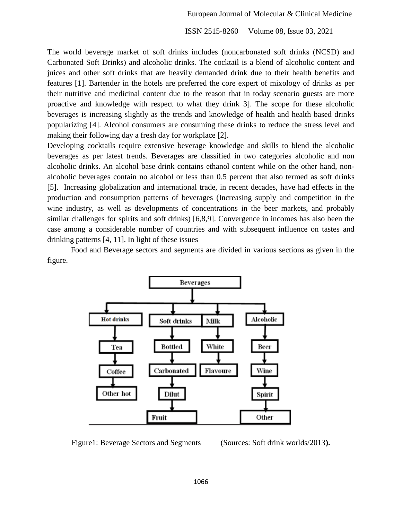The world beverage market of soft drinks includes (noncarbonated soft drinks (NCSD) and Carbonated Soft Drinks) and alcoholic drinks. The cocktail is a blend of alcoholic content and juices and other soft drinks that are heavily demanded drink due to their health benefits and features [1]. Bartender in the hotels are preferred the core expert of mixology of drinks as per their nutritive and medicinal content due to the reason that in today scenario guests are more proactive and knowledge with respect to what they drink 3]. The scope for these alcoholic beverages is increasing slightly as the trends and knowledge of health and health based drinks popularizing [4]. Alcohol consumers are consuming these drinks to reduce the stress level and making their following day a fresh day for workplace [2].

Developing cocktails require extensive beverage knowledge and skills to blend the alcoholic beverages as per latest trends. Beverages are classified in two categories alcoholic and non alcoholic drinks. An alcohol base drink contains ethanol content while on the other hand, nonalcoholic beverages contain no alcohol or less than 0.5 percent that also termed as soft drinks [5]. Increasing globalization and international trade, in recent decades, have had effects in the production and consumption patterns of beverages (Increasing supply and competition in the wine industry, as well as developments of concentrations in the beer markets, and probably similar challenges for spirits and soft drinks) [6,8,9]. Convergence in incomes has also been the case among a considerable number of countries and with subsequent influence on tastes and drinking patterns [4, 11]. In light of these issues

Food and Beverage sectors and segments are divided in various sections as given in the figure.



Figure1: Beverage Sectors and Segments (Sources: Soft drink worlds/2013).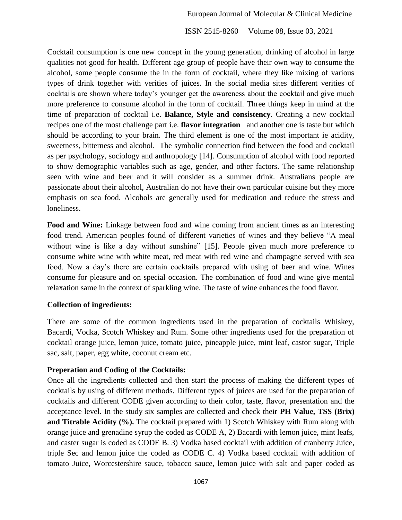Cocktail consumption is one new concept in the young generation, drinking of alcohol in large qualities not good for health. Different age group of people have their own way to consume the alcohol, some people consume the in the form of cocktail, where they like mixing of various types of drink together with verities of juices. In the social media sites different verities of cocktails are shown where today"s younger get the awareness about the cocktail and give much more preference to consume alcohol in the form of cocktail. Three things keep in mind at the time of preparation of cocktail i.e. **Balance, Style and consistency**. Creating a new cocktail recipes one of the most challenge part i.e. **flavor integration** and another one is taste but which should be according to your brain. The third element is one of the most important ie acidity, sweetness, bitterness and alcohol. The symbolic connection find between the food and cocktail as per psychology, sociology and anthropology [14]. Consumption of alcohol with food reported to show demographic variables such as age, gender, and other factors. The same relationship seen with wine and beer and it will consider as a summer drink. Australians people are passionate about their alcohol, Australian do not have their own particular cuisine but they more emphasis on sea food. Alcohols are generally used for medication and reduce the stress and loneliness.

Food and Wine: Linkage between food and wine coming from ancient times as an interesting food trend. American peoples found of different varieties of wines and they believe "A meal without wine is like a day without sunshine" [15]. People given much more preference to consume white wine with white meat, red meat with red wine and champagne served with sea food. Now a day"s there are certain cocktails prepared with using of beer and wine. Wines consume for pleasure and on special occasion. The combination of food and wine give mental relaxation same in the context of sparkling wine. The taste of wine enhances the food flavor.

#### **Collection of ingredients:**

There are some of the common ingredients used in the preparation of cocktails Whiskey, Bacardi, Vodka, Scotch Whiskey and Rum. Some other ingredients used for the preparation of cocktail orange juice, lemon juice, tomato juice, pineapple juice, mint leaf, castor sugar, Triple sac, salt, paper, egg white, coconut cream etc.

#### **Preperation and Coding of the Cocktails:**

Once all the ingredients collected and then start the process of making the different types of cocktails by using of different methods. Different types of juices are used for the preparation of cocktails and different CODE given according to their color, taste, flavor, presentation and the acceptance level. In the study six samples are collected and check their **PH Value, TSS (Brix) and Titrable Acidity (%).** The cocktail prepared with 1) Scotch Whiskey with Rum along with orange juice and grenadine syrup the coded as CODE A, 2) Bacardi with lemon juice, mint leafs, and caster sugar is coded as CODE B. 3) Vodka based cocktail with addition of cranberry Juice, triple Sec and lemon juice the coded as CODE C. 4) Vodka based cocktail with addition of tomato Juice, Worcestershire sauce, tobacco sauce, lemon juice with salt and paper coded as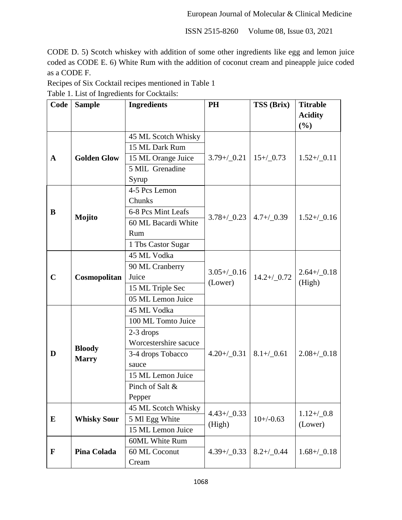CODE D. 5) Scotch whiskey with addition of some other ingredients like egg and lemon juice coded as CODE E. 6) White Rum with the addition of coconut cream and pineapple juice coded as a CODE F.

Recipes of Six Cocktail recipes mentioned in Table 1 Table 1. List of Ingredients for Cocktails:

| Code        | <b>Sample</b>      | <b>Ingredients</b>    | <b>PH</b>       | TSS (Brix)      | <b>Titrable</b><br><b>Acidity</b> |  |
|-------------|--------------------|-----------------------|-----------------|-----------------|-----------------------------------|--|
|             |                    |                       |                 |                 | (%)                               |  |
|             |                    | 45 ML Scotch Whisky   |                 |                 |                                   |  |
| A           |                    | 15 ML Dark Rum        |                 |                 |                                   |  |
|             | <b>Golden Glow</b> | 15 ML Orange Juice    | $3.79 + / 0.21$ | $15 + / 0.73$   | $1.52 + / 0.11$                   |  |
|             |                    | 5 MIL Grenadine       |                 |                 |                                   |  |
|             |                    | Syrup                 |                 |                 |                                   |  |
|             |                    | 4-5 Pcs Lemon         |                 |                 |                                   |  |
|             |                    | Chunks                |                 |                 |                                   |  |
| B           |                    | 6-8 Pcs Mint Leafs    | $3.78 + / 0.23$ | $4.7 + / 0.39$  | $1.52 + / 0.16$                   |  |
|             | Mojito             | 60 ML Bacardi White   |                 |                 |                                   |  |
|             |                    | Rum                   |                 |                 |                                   |  |
|             |                    | 1 Tbs Castor Sugar    |                 |                 |                                   |  |
|             | Cosmopolitan       | 45 ML Vodka           |                 |                 |                                   |  |
| $\mathbf C$ |                    | 90 ML Cranberry       | $3.05 + / 0.16$ |                 | $2.64 + / 0.18$                   |  |
|             |                    | Juice                 | (Lower)         | $14.2 + / 0.72$ | (High)                            |  |
|             |                    | 15 ML Triple Sec      |                 |                 |                                   |  |
|             |                    | 05 ML Lemon Juice     |                 |                 |                                   |  |
|             |                    | 45 ML Vodka           |                 |                 | $2.08 + / 0.18$                   |  |
|             |                    | 100 ML Tomto Juice    |                 |                 |                                   |  |
|             |                    | $2-3$ drops           |                 |                 |                                   |  |
|             | <b>Bloody</b>      | Worcestershire sacuce |                 |                 |                                   |  |
| D           | <b>Marry</b>       | 3-4 drops Tobacco     | $4.20 + / 0.31$ | $8.1 + / 0.61$  |                                   |  |
|             |                    | sauce                 |                 |                 |                                   |  |
|             |                    | 15 ML Lemon Juice     |                 |                 |                                   |  |
|             |                    | Pinch of Salt &       |                 |                 |                                   |  |
|             |                    | Pepper                |                 |                 |                                   |  |
|             |                    | 45 ML Scotch Whisky   | $4.43 + / 0.33$ |                 | $1.12 + / 0.8$                    |  |
| E           | <b>Whisky Sour</b> | 5 Ml Egg White        | (High)          | $10+/0.63$      | (Lower)                           |  |
|             |                    | 15 ML Lemon Juice     |                 |                 |                                   |  |
|             |                    | <b>60ML White Rum</b> |                 |                 |                                   |  |
| $\mathbf F$ | Pina Colada        | 60 ML Coconut         | $4.39 + / 0.33$ | $8.2 + / 0.44$  | $1.68 + / 0.18$                   |  |
|             |                    | Cream                 |                 |                 |                                   |  |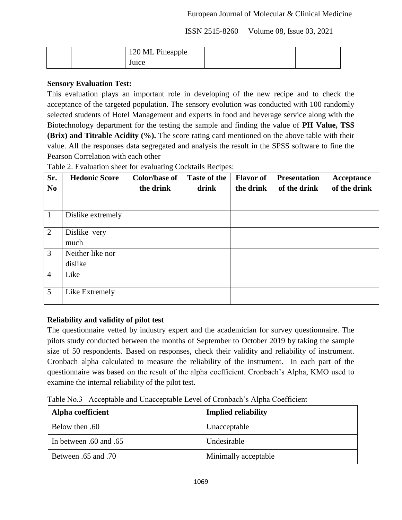## European Journal of Molecular & Clinical Medicine

ISSN 2515-8260 Volume 08, Issue 03, 2021

|  | 120 ML Pineapple |  |  |
|--|------------------|--|--|
|  | Juice            |  |  |

# **Sensory Evaluation Test:**

This evaluation plays an important role in developing of the new recipe and to check the acceptance of the targeted population. The sensory evolution was conducted with 100 randomly selected students of Hotel Management and experts in food and beverage service along with the Biotechnology department for the testing the sample and finding the value of **PH Value, TSS (Brix) and Titrable Acidity (%).** The score rating card mentioned on the above table with their value. All the responses data segregated and analysis the result in the SPSS software to fine the Pearson Correlation with each other

| Sr.            | <b>Hedonic Score</b> | <b>Color/base of</b> | <b>Taste of the</b> | <b>Flavor</b> of | <b>Presentation</b> | Acceptance   |
|----------------|----------------------|----------------------|---------------------|------------------|---------------------|--------------|
| N <sub>0</sub> |                      | the drink            | drink               | the drink        | of the drink        | of the drink |
|                |                      |                      |                     |                  |                     |              |
| 1              | Dislike extremely    |                      |                     |                  |                     |              |
| 2              | Dislike very         |                      |                     |                  |                     |              |
|                | much                 |                      |                     |                  |                     |              |
| 3              | Neither like nor     |                      |                     |                  |                     |              |
|                | dislike              |                      |                     |                  |                     |              |
| $\overline{4}$ | Like                 |                      |                     |                  |                     |              |
| 5              | Like Extremely       |                      |                     |                  |                     |              |

Table 2. Evaluation sheet for evaluating Cocktails Recipes:

# **Reliability and validity of pilot test**

The questionnaire vetted by industry expert and the academician for survey questionnaire. The pilots study conducted between the months of September to October 2019 by taking the sample size of 50 respondents. Based on responses, check their validity and reliability of instrument. Cronbach alpha calculated to measure the reliability of the instrument. In each part of the questionnaire was based on the result of the alpha coefficient. Cronbach"s Alpha, KMO used to examine the internal reliability of the pilot test.

Table No.3 Acceptable and Unacceptable Level of Cronbach"s Alpha Coefficient

| Alpha coefficient      | <b>Implied reliability</b> |
|------------------------|----------------------------|
| 60. Below then         | Unacceptable               |
| In between .60 and .65 | Undesirable                |
| 10. Between .65 and    | Minimally acceptable       |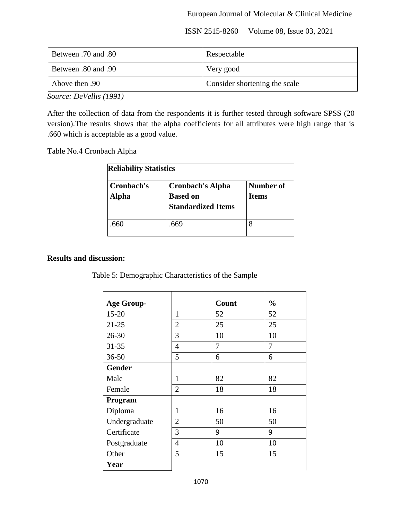| 80. Between .70 and | Respectable                   |
|---------------------|-------------------------------|
| 90. Between .80 and | Very good                     |
| Above then .90      | Consider shortening the scale |

*Source: DeVellis (1991)*

After the collection of data from the respondents it is further tested through software SPSS (20 version).The results shows that the alpha coefficients for all attributes were high range that is .660 which is acceptable as a good value.

Table No.4 Cronbach Alpha

| <b>Reliability Statistics</b> |                                                                         |                           |  |  |  |  |  |
|-------------------------------|-------------------------------------------------------------------------|---------------------------|--|--|--|--|--|
| Cronbach's<br><b>Alpha</b>    | <b>Cronbach's Alpha</b><br><b>Based on</b><br><b>Standardized Items</b> | Number of<br><b>Items</b> |  |  |  |  |  |
| .660                          | .669                                                                    |                           |  |  |  |  |  |

#### **Results and discussion:**

Table 5: Demographic Characteristics of the Sample

| <b>Age Group-</b> |                | Count | $\frac{0}{0}$ |
|-------------------|----------------|-------|---------------|
| $15 - 20$         | $\mathbf{1}$   | 52    | 52            |
| $21 - 25$         | $\overline{2}$ | 25    | 25            |
| $26 - 30$         | 3              | 10    | 10            |
| $31 - 35$         | 4              | 7     | 7             |
| $36 - 50$         | 5              | 6     | 6             |
| <b>Gender</b>     |                |       |               |
| Male              | 1              | 82    | 82            |
| Female            | $\overline{2}$ | 18    | 18            |
| Program           |                |       |               |
| Diploma           | 1              | 16    | 16            |
| Undergraduate     | $\overline{2}$ | 50    | 50            |
| Certificate       | 3              | 9     | 9             |
| Postgraduate      | $\overline{4}$ | 10    | 10            |
| Other             | 5              | 15    | 15            |
| Year              |                |       |               |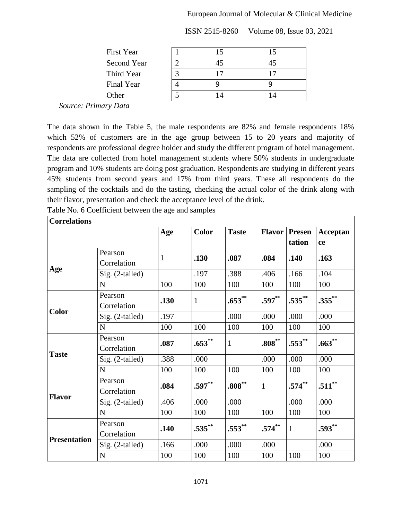## European Journal of Molecular & Clinical Medicine

| <b>First Year</b> | 15 |  |
|-------------------|----|--|
| Second Year       | 45 |  |
| Third Year        | ٠¬ |  |
| Final Year        |    |  |
| <b>Other</b>      |    |  |

ISSN 2515-8260 Volume 08, Issue 03, 2021

 *Source: Primary Data*

The data shown in the Table 5, the male respondents are 82% and female respondents 18% which 52% of customers are in the age group between 15 to 20 years and majority of respondents are professional degree holder and study the different program of hotel management. The data are collected from hotel management students where 50% students in undergraduate program and 10% students are doing post graduation. Respondents are studying in different years 45% students from second years and 17% from third years. These all respondents do the sampling of the cocktails and do the tasting, checking the actual color of the drink along with their flavor, presentation and check the acceptance level of the drink.

Table No. 6 Coefficient between the age and samples

| <b>Correlations</b> |                 |              |              |              |               |               |           |
|---------------------|-----------------|--------------|--------------|--------------|---------------|---------------|-----------|
|                     |                 | Age          | <b>Color</b> | <b>Taste</b> | <b>Flavor</b> | <b>Presen</b> | Acceptan  |
|                     |                 |              |              |              |               | tation        | ce        |
|                     | Pearson         | $\mathbf{1}$ | .130         | .087         | .084          | .140          | .163      |
|                     | Correlation     |              |              |              |               |               |           |
| Age                 | Sig. (2-tailed) |              | .197         | .388         | .406          | .166          | .104      |
|                     | N               | 100          | 100          | 100          | 100           | 100           | 100       |
|                     | Pearson         | .130         | $\mathbf{1}$ | $.653$ **    | $.597**$      | $.535***$     | $.355***$ |
| <b>Color</b>        | Correlation     |              |              |              |               |               |           |
|                     | Sig. (2-tailed) | .197         |              | .000         | .000          | .000          | .000      |
|                     | $\mathbf N$     | 100          | 100          | 100          | 100           | 100           | 100       |
|                     | Pearson         | .087         | $.653***$    | $\mathbf{1}$ | $.808^{**}$   | $.553***$     | $.663***$ |
| <b>Taste</b>        | Correlation     |              |              |              |               |               |           |
|                     | Sig. (2-tailed) | .388         | .000         |              | .000          | .000          | .000      |
|                     | N               | 100          | 100          | 100          | 100           | 100           | 100       |
|                     | Pearson         | .084         | $.597**$     | $.808***$    | $\mathbf{1}$  | $.574***$     | $.511***$ |
| <b>Flavor</b>       | Correlation     |              |              |              |               |               |           |
|                     | Sig. (2-tailed) | .406         | .000         | .000         |               | .000          | .000      |
|                     | N               | 100          | 100          | 100          | 100           | 100           | 100       |
|                     | Pearson         | .140         | $.535***$    | $.553***$    | $.574***$     | $\mathbf{1}$  | $.593**$  |
| <b>Presentation</b> | Correlation     |              |              |              |               |               |           |
|                     | Sig. (2-tailed) | .166         | .000         | .000         | .000          |               | .000      |
|                     | $\mathbf N$     | 100          | 100          | 100          | 100           | 100           | 100       |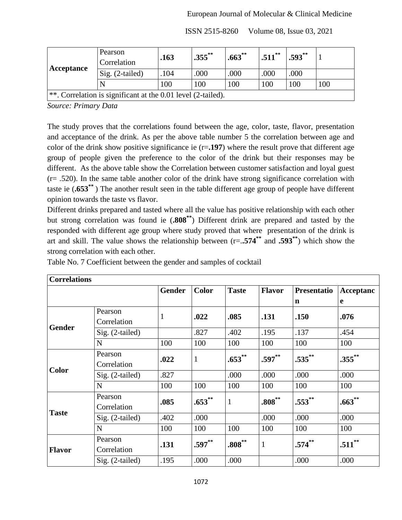|                                                                | Pearson<br>Correlation | .163 | $.355$ ** | $.663***$ | $.511$ ** | $.593**$ |     |
|----------------------------------------------------------------|------------------------|------|-----------|-----------|-----------|----------|-----|
| Acceptance                                                     | $Sig. (2-tailed)$      | .104 | .000      | .000      | .000      | .000     |     |
|                                                                |                        | 100  | 100       | 100       | 100       | 100      | 100 |
| **. Correlation is significant at the $0.01$ level (2-tailed). |                        |      |           |           |           |          |     |

*Source: Primary Data*

The study proves that the correlations found between the age, color, taste, flavor, presentation and acceptance of the drink. As per the above table number 5 the correlation between age and color of the drink show positive significance ie (r=**.197**) where the result prove that different age group of people given the preference to the color of the drink but their responses may be different. As the above table show the Correlation between customer satisfaction and loyal guest (r= .520). In the same table another color of the drink have strong significance correlation with taste ie (**.653\*\*** ) The another result seen in the table different age group of people have different opinion towards the taste vs flavor.

Different drinks prepared and tasted where all the value has positive relationship with each other but strong correlation was found ie (**.808\*\***) Different drink are prepared and tasted by the responded with different age group where study proved that where presentation of the drink is art and skill. The value shows the relationship between (r=.**.574\*\*** and **.593\*\***) which show the strong correlation with each other.

| <b>Correlations</b> |                   |               |              |              |               |             |           |
|---------------------|-------------------|---------------|--------------|--------------|---------------|-------------|-----------|
|                     |                   | <b>Gender</b> | <b>Color</b> | <b>Taste</b> | <b>Flavor</b> | Presentatio | Acceptanc |
|                     |                   |               |              |              |               | n           | e         |
|                     | Pearson           | $\mathbf{1}$  | .022         | .085         | .131          | .150        | .076      |
| <b>Gender</b>       | Correlation       |               |              |              |               |             |           |
|                     | $Sig. (2-tailed)$ |               | .827         | .402         | .195          | .137        | .454      |
|                     | N                 | 100           | 100          | 100          | 100           | 100         | 100       |
|                     | Pearson           | .022          | $\mathbf{1}$ | $.653***$    | $.597**$      | $.535***$   | $.355***$ |
| <b>Color</b>        | Correlation       |               |              |              |               |             |           |
|                     | Sig. (2-tailed)   | .827          |              | .000         | .000          | .000        | .000      |
|                     | N                 | 100           | 100          | 100          | 100           | 100         | 100       |
|                     | Pearson           | .085          | $.653$ **    | 1            | $.808^{**}$   | $.553***$   | $.663**$  |
| <b>Taste</b>        | Correlation       |               |              |              |               |             |           |
|                     | $Sig. (2-tailed)$ | .402          | .000         |              | .000          | .000        | .000      |
|                     | N                 | 100           | 100          | 100          | 100           | 100         | 100       |
|                     | Pearson           | .131          | $.597**$     | $.808***$    | 1             | $.574^{**}$ | $.511$ ** |
| <b>Flavor</b>       | Correlation       |               |              |              |               |             |           |
|                     | $Sig. (2-tailed)$ | .195          | .000         | .000         |               | .000        | .000      |

Table No. 7 Coefficient between the gender and samples of cocktail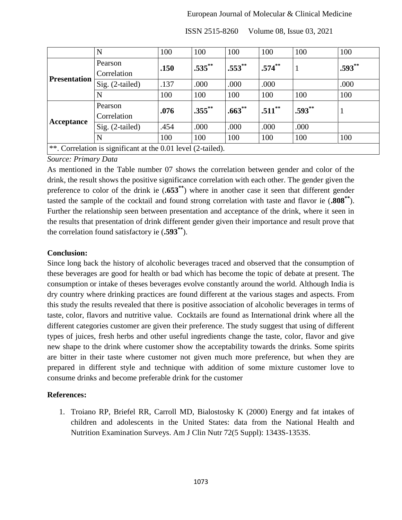## European Journal of Molecular & Clinical Medicine

|                                                                  | N                 | 100  | 100       | 100         | 100         | 100      | 100      |  |
|------------------------------------------------------------------|-------------------|------|-----------|-------------|-------------|----------|----------|--|
|                                                                  | Pearson           | .150 | $.535***$ | $.553$ **   | $.574^{**}$ | 1        | $.593**$ |  |
| <b>Presentation</b>                                              | Correlation       |      |           |             |             |          |          |  |
|                                                                  | Sig. $(2-tailed)$ | .137 | .000      | .000        | .000        |          | .000     |  |
|                                                                  | N                 | 100  | 100       | 100         | 100         | 100      | 100      |  |
|                                                                  | Pearson           | .076 | $.355$ ** | $.663^{**}$ | $.511$ **   | $.593**$ |          |  |
|                                                                  | Correlation       |      |           |             |             |          |          |  |
| Acceptance                                                       | Sig. $(2-tailed)$ | .454 | .000      | .000        | .000        | .000     |          |  |
|                                                                  | N                 | 100  | 100       | 100         | 100         | 100      | 100      |  |
| $ **$ . Correlation is significant at the 0.01 level (2-tailed). |                   |      |           |             |             |          |          |  |

ISSN 2515-8260 Volume 08, Issue 03, 2021

## *Source: Primary Data*

As mentioned in the Table number 07 shows the correlation between gender and color of the drink, the result shows the positive significance correlation with each other. The gender given the preference to color of the drink ie (**.653\*\***) where in another case it seen that different gender tasted the sample of the cocktail and found strong correlation with taste and flavor ie (**.808\*\***). Further the relationship seen between presentation and acceptance of the drink, where it seen in the results that presentation of drink different gender given their importance and result prove that the correlation found satisfactory ie (**.593\*\***).

## **Conclusion:**

Since long back the history of alcoholic beverages traced and observed that the consumption of these beverages are good for health or bad which has become the topic of debate at present. The consumption or intake of theses beverages evolve constantly around the world. Although India is dry country where drinking practices are found different at the various stages and aspects. From this study the results revealed that there is positive association of alcoholic beverages in terms of taste, color, flavors and nutritive value. Cocktails are found as International drink where all the different categories customer are given their preference. The study suggest that using of different types of juices, fresh herbs and other useful ingredients change the taste, color, flavor and give new shape to the drink where customer show the acceptability towards the drinks. Some spirits are bitter in their taste where customer not given much more preference, but when they are prepared in different style and technique with addition of some mixture customer love to consume drinks and become preferable drink for the customer

## **References:**

1. Troiano RP, Briefel RR, Carroll MD, Bialostosky K (2000) Energy and fat intakes of children and adolescents in the United States: data from the National Health and Nutrition Examination Surveys. Am J Clin Nutr 72(5 Suppl): 1343S-1353S.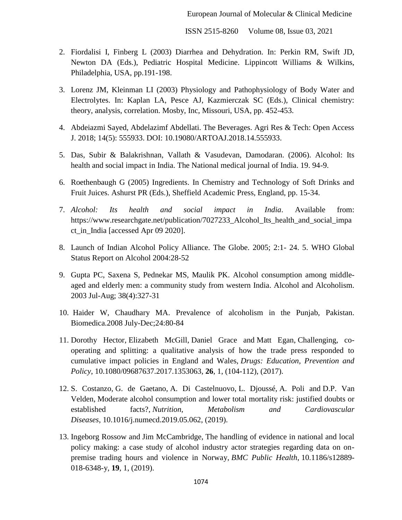- 2. Fiordalisi I, Finberg L (2003) Diarrhea and Dehydration. In: Perkin RM, Swift JD, Newton DA (Eds.), Pediatric Hospital Medicine. Lippincott Williams & Wilkins, Philadelphia, USA, pp.191-198.
- 3. Lorenz JM, Kleinman LI (2003) Physiology and Pathophysiology of Body Water and Electrolytes. In: Kaplan LA, Pesce AJ, Kazmierczak SC (Eds.), Clinical chemistry: theory, analysis, correlation. Mosby, Inc, Missouri, USA, pp. 452-453.
- 4. Abdeiazmi Sayed, Abdelazimf Abdellati. The Beverages. Agri Res & Tech: Open Access J. 2018; 14(5): 555933. DOI: 10.19080/ARTOAJ.2018.14.555933.
- 5. Das, Subir & Balakrishnan, Vallath & Vasudevan, Damodaran. (2006). Alcohol: Its health and social impact in India. The National medical journal of India. 19. 94-9.
- 6. Roethenbaugh G (2005) Ingredients. In Chemistry and Technology of Soft Drinks and Fruit Juices. Ashurst PR (Eds.), Sheffield Academic Press, England, pp. 15-34.
- 7. *Alcohol: Its health and social impact in India*. Available from: https://www.researchgate.net/publication/7027233\_Alcohol\_Its\_health\_and\_social\_impa ct\_in\_India [accessed Apr 09 2020].
- 8. Launch of Indian Alcohol Policy Alliance. The Globe. 2005; 2:1- 24. 5. WHO Global Status Report on Alcohol 2004:28-52
- 9. Gupta PC, Saxena S, Pednekar MS, Maulik PK. Alcohol consumption among middleaged and elderly men: a community study from western India. Alcohol and Alcoholism. 2003 Jul-Aug; 38(4):327-31
- 10. Haider W, Chaudhary MA. Prevalence of alcoholism in the Punjab, Pakistan. Biomedica.2008 July-Dec;24:80-84
- 11. Dorothy Hector, Elizabeth McGill, Daniel Grace and Matt Egan, Challenging, cooperating and splitting: a qualitative analysis of how the trade press responded to cumulative impact policies in England and Wales, *Drugs: Education, Prevention and Policy*, 10.1080/09687637.2017.1353063, **26**, 1, (104-112), (2017).
- 12. S. Costanzo, G. de Gaetano, A. Di Castelnuovo, L. Djoussé, A. Poli and D.P. Van Velden, Moderate alcohol consumption and lower total mortality risk: justified doubts or established facts?, *Nutrition, Metabolism and Cardiovascular Diseases*, 10.1016/j.numecd.2019.05.062, (2019).
- 13. Ingeborg Rossow and Jim McCambridge, The handling of evidence in national and local policy making: a case study of alcohol industry actor strategies regarding data on onpremise trading hours and violence in Norway, *BMC Public Health*, 10.1186/s12889- 018-6348-y, **19**, 1, (2019).